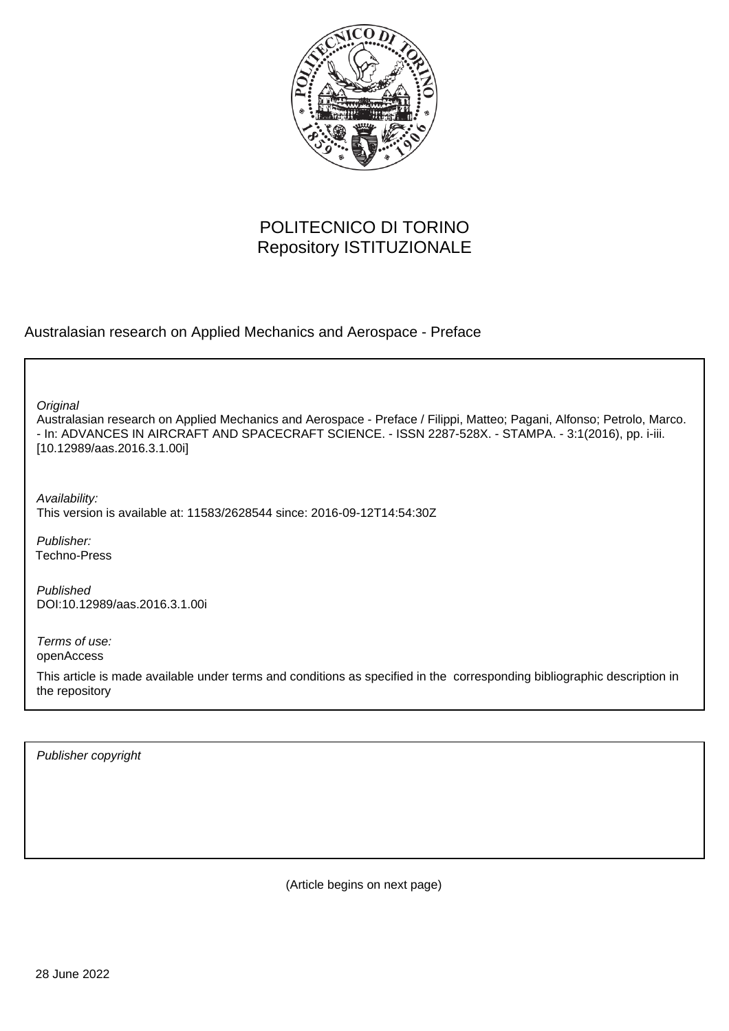

## POLITECNICO DI TORINO Repository ISTITUZIONALE

Australasian research on Applied Mechanics and Aerospace - Preface

**Original** 

Australasian research on Applied Mechanics and Aerospace - Preface / Filippi, Matteo; Pagani, Alfonso; Petrolo, Marco. - In: ADVANCES IN AIRCRAFT AND SPACECRAFT SCIENCE. - ISSN 2287-528X. - STAMPA. - 3:1(2016), pp. i-iii. [10.12989/aas.2016.3.1.00i]

Availability: This version is available at: 11583/2628544 since: 2016-09-12T14:54:30Z

Publisher: Techno-Press

Published DOI:10.12989/aas.2016.3.1.00i

Terms of use: openAccess

This article is made available under terms and conditions as specified in the corresponding bibliographic description in the repository

Publisher copyright

(Article begins on next page)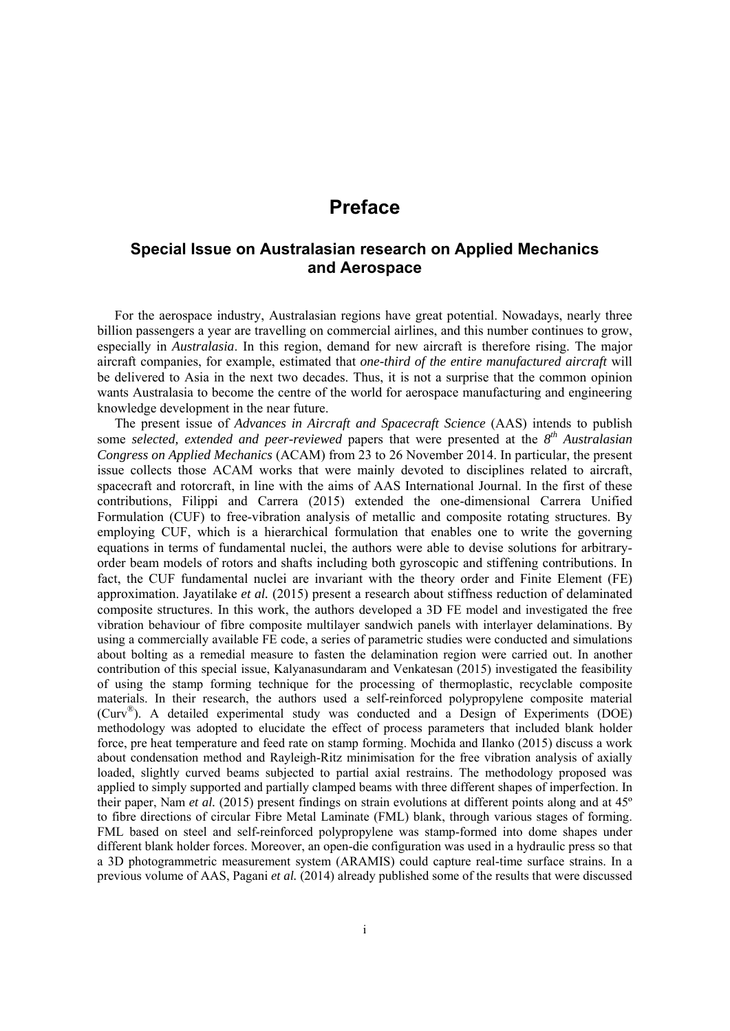## **Preface**

## **Special Issue on Australasian research on Applied Mechanics and Aerospace**

For the aerospace industry, Australasian regions have great potential. Nowadays, nearly three billion passengers a year are travelling on commercial airlines, and this number continues to grow, especially in *Australasia*. In this region, demand for new aircraft is therefore rising. The major aircraft companies, for example, estimated that *one-third of the entire manufactured aircraft* will be delivered to Asia in the next two decades. Thus, it is not a surprise that the common opinion wants Australasia to become the centre of the world for aerospace manufacturing and engineering knowledge development in the near future.

The present issue of *Advances in Aircraft and Spacecraft Science* (AAS) intends to publish some *selected, extended and peer-reviewed* papers that were presented at the *8th Australasian Congress on Applied Mechanics* (ACAM) from 23 to 26 November 2014. In particular, the present issue collects those ACAM works that were mainly devoted to disciplines related to aircraft, spacecraft and rotorcraft, in line with the aims of AAS International Journal. In the first of these contributions, Filippi and Carrera (2015) extended the one-dimensional Carrera Unified Formulation (CUF) to free-vibration analysis of metallic and composite rotating structures. By employing CUF, which is a hierarchical formulation that enables one to write the governing equations in terms of fundamental nuclei, the authors were able to devise solutions for arbitraryorder beam models of rotors and shafts including both gyroscopic and stiffening contributions. In fact, the CUF fundamental nuclei are invariant with the theory order and Finite Element (FE) approximation. Jayatilake *et al.* (2015) present a research about stiffness reduction of delaminated composite structures. In this work, the authors developed a 3D FE model and investigated the free vibration behaviour of fibre composite multilayer sandwich panels with interlayer delaminations. By using a commercially available FE code, a series of parametric studies were conducted and simulations about bolting as a remedial measure to fasten the delamination region were carried out. In another contribution of this special issue, Kalyanasundaram and Venkatesan (2015) investigated the feasibility of using the stamp forming technique for the processing of thermoplastic, recyclable composite materials. In their research, the authors used a self-reinforced polypropylene composite material (Curv®). A detailed experimental study was conducted and a Design of Experiments (DOE) methodology was adopted to elucidate the effect of process parameters that included blank holder force, pre heat temperature and feed rate on stamp forming. Mochida and Ilanko (2015) discuss a work about condensation method and Rayleigh-Ritz minimisation for the free vibration analysis of axially loaded, slightly curved beams subjected to partial axial restrains. The methodology proposed was applied to simply supported and partially clamped beams with three different shapes of imperfection. In their paper, Nam *et al.* (2015) present findings on strain evolutions at different points along and at 45º to fibre directions of circular Fibre Metal Laminate (FML) blank, through various stages of forming. FML based on steel and self-reinforced polypropylene was stamp-formed into dome shapes under different blank holder forces. Moreover, an open-die configuration was used in a hydraulic press so that a 3D photogrammetric measurement system (ARAMIS) could capture real-time surface strains. In a previous volume of AAS, Pagani *et al.* (2014) already published some of the results that were discussed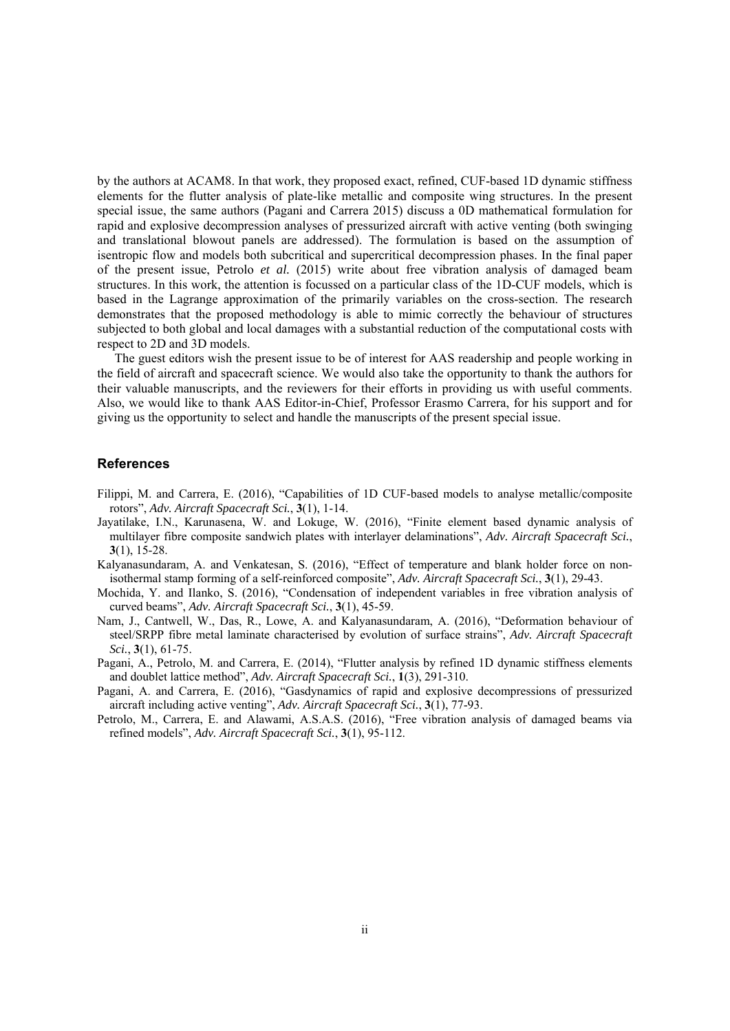by the authors at ACAM8. In that work, they proposed exact, refined, CUF-based 1D dynamic stiffness elements for the flutter analysis of plate-like metallic and composite wing structures. In the present special issue, the same authors (Pagani and Carrera 2015) discuss a 0D mathematical formulation for rapid and explosive decompression analyses of pressurized aircraft with active venting (both swinging and translational blowout panels are addressed). The formulation is based on the assumption of isentropic flow and models both subcritical and supercritical decompression phases. In the final paper of the present issue, Petrolo *et al.* (2015) write about free vibration analysis of damaged beam structures. In this work, the attention is focussed on a particular class of the 1D-CUF models, which is based in the Lagrange approximation of the primarily variables on the cross-section. The research demonstrates that the proposed methodology is able to mimic correctly the behaviour of structures subjected to both global and local damages with a substantial reduction of the computational costs with respect to 2D and 3D models.

The guest editors wish the present issue to be of interest for AAS readership and people working in the field of aircraft and spacecraft science. We would also take the opportunity to thank the authors for their valuable manuscripts, and the reviewers for their efforts in providing us with useful comments. Also, we would like to thank AAS Editor-in-Chief, Professor Erasmo Carrera, for his support and for giving us the opportunity to select and handle the manuscripts of the present special issue.

## **References**

- Filippi, M. and Carrera, E. (2016), "Capabilities of 1D CUF-based models to analyse metallic/composite rotors", *Adv. Aircraft Spacecraft Sci.*, **3**(1), 1-14.
- Jayatilake, I.N., Karunasena, W. and Lokuge, W. (2016), "Finite element based dynamic analysis of multilayer fibre composite sandwich plates with interlayer delaminations", *Adv. Aircraft Spacecraft Sci.*, **3**(1), 15-28.
- Kalyanasundaram, A. and Venkatesan, S. (2016), "Effect of temperature and blank holder force on nonisothermal stamp forming of a self-reinforced composite", *Adv. Aircraft Spacecraft Sci.*, **3**(1), 29-43.
- Mochida, Y. and Ilanko, S. (2016), "Condensation of independent variables in free vibration analysis of curved beams", *Adv. Aircraft Spacecraft Sci.*, **3**(1), 45-59.
- Nam, J., Cantwell, W., Das, R., Lowe, A. and Kalyanasundaram, A. (2016), "Deformation behaviour of steel/SRPP fibre metal laminate characterised by evolution of surface strains", *Adv. Aircraft Spacecraft Sci.*, **3**(1), 61-75.
- Pagani, A., Petrolo, M. and Carrera, E. (2014), "Flutter analysis by refined 1D dynamic stiffness elements and doublet lattice method", *Adv. Aircraft Spacecraft Sci.*, **1**(3), 291-310.
- Pagani, A. and Carrera, E. (2016), "Gasdynamics of rapid and explosive decompressions of pressurized aircraft including active venting", *Adv. Aircraft Spacecraft Sci.*, **3**(1), 77-93.
- Petrolo, M., Carrera, E. and Alawami, A.S.A.S. (2016), "Free vibration analysis of damaged beams via refined models", *Adv. Aircraft Spacecraft Sci.*, **3**(1), 95-112.